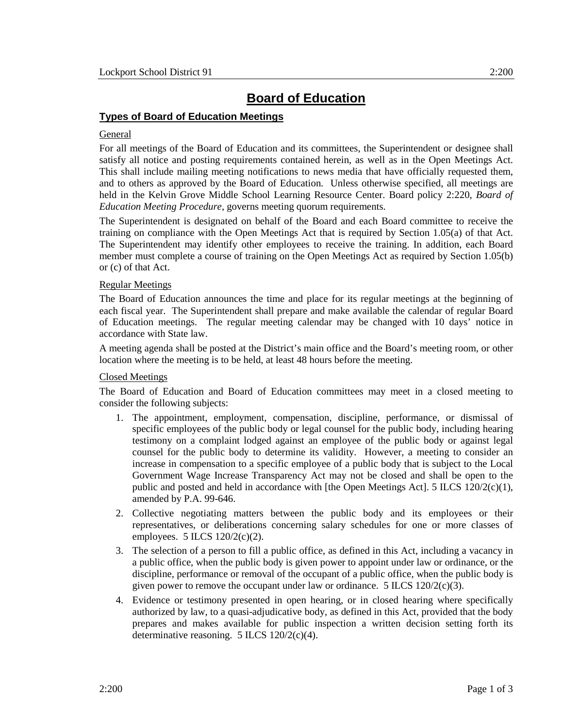# **Board of Education**

# **Types of Board of Education Meetings**

## General

For all meetings of the Board of Education and its committees, the Superintendent or designee shall satisfy all notice and posting requirements contained herein, as well as in the Open Meetings Act. This shall include mailing meeting notifications to news media that have officially requested them, and to others as approved by the Board of Education. Unless otherwise specified, all meetings are held in the Kelvin Grove Middle School Learning Resource Center. Board policy 2:220, *Board of Education Meeting Procedure*, governs meeting quorum requirements.

The Superintendent is designated on behalf of the Board and each Board committee to receive the training on compliance with the Open Meetings Act that is required by Section 1.05(a) of that Act. The Superintendent may identify other employees to receive the training. In addition, each Board member must complete a course of training on the Open Meetings Act as required by Section 1.05(b) or (c) of that Act.

## Regular Meetings

The Board of Education announces the time and place for its regular meetings at the beginning of each fiscal year. The Superintendent shall prepare and make available the calendar of regular Board of Education meetings. The regular meeting calendar may be changed with 10 days' notice in accordance with State law.

A meeting agenda shall be posted at the District's main office and the Board's meeting room, or other location where the meeting is to be held, at least 48 hours before the meeting.

#### Closed Meetings

The Board of Education and Board of Education committees may meet in a closed meeting to consider the following subjects:

- 1. The appointment, employment, compensation, discipline, performance, or dismissal of specific employees of the public body or legal counsel for the public body, including hearing testimony on a complaint lodged against an employee of the public body or against legal counsel for the public body to determine its validity. However, a meeting to consider an increase in compensation to a specific employee of a public body that is subject to the Local Government Wage Increase Transparency Act may not be closed and shall be open to the public and posted and held in accordance with [the Open Meetings Act]. 5 ILCS 120/2(c)(1), amended by P.A. 99-646.
- 2. Collective negotiating matters between the public body and its employees or their representatives, or deliberations concerning salary schedules for one or more classes of employees. 5 ILCS 120/2(c)(2).
- 3. The selection of a person to fill a public office, as defined in this Act, including a vacancy in a public office, when the public body is given power to appoint under law or ordinance, or the discipline, performance or removal of the occupant of a public office, when the public body is given power to remove the occupant under law or ordinance. 5 ILCS 120/2(c)(3).
- 4. Evidence or testimony presented in open hearing, or in closed hearing where specifically authorized by law, to a quasi-adjudicative body, as defined in this Act, provided that the body prepares and makes available for public inspection a written decision setting forth its determinative reasoning. 5 ILCS 120/2(c)(4).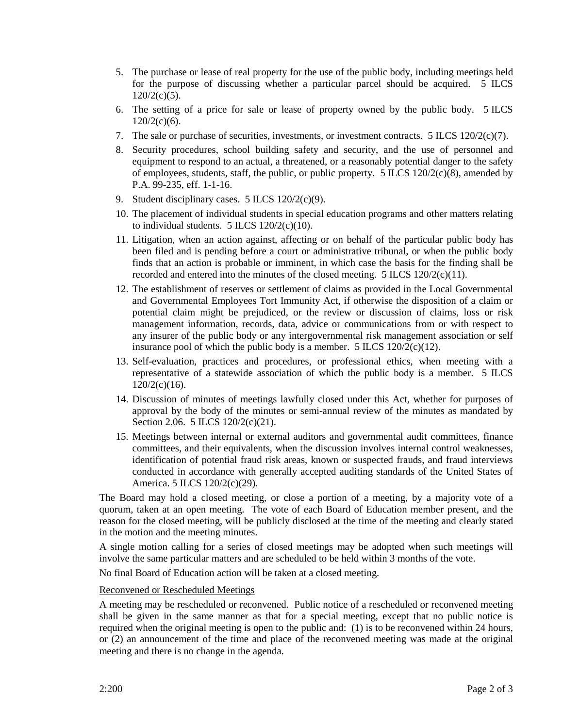- 5. The purchase or lease of real property for the use of the public body, including meetings held for the purpose of discussing whether a particular parcel should be acquired. 5 ILCS  $120/2(c)(5)$ .
- 6. The setting of a price for sale or lease of property owned by the public body. 5 ILCS  $120/2(c)(6)$ .
- 7. The sale or purchase of securities, investments, or investment contracts. 5 ILCS 120/2(c)(7).
- 8. Security procedures, school building safety and security, and the use of personnel and equipment to respond to an actual, a threatened, or a reasonably potential danger to the safety of employees, students, staff, the public, or public property.  $5$  ILCS 120/2(c)(8), amended by P.A. 99-235, eff. 1-1-16.
- 9. Student disciplinary cases. 5 ILCS 120/2(c)(9).
- 10. The placement of individual students in special education programs and other matters relating to individual students.  $5$  ILCS  $120/2(c)(10)$ .
- 11. Litigation, when an action against, affecting or on behalf of the particular public body has been filed and is pending before a court or administrative tribunal, or when the public body finds that an action is probable or imminent, in which case the basis for the finding shall be recorded and entered into the minutes of the closed meeting.  $5$  ILCS 120/2(c)(11).
- 12. The establishment of reserves or settlement of claims as provided in the Local Governmental and Governmental Employees Tort Immunity Act, if otherwise the disposition of a claim or potential claim might be prejudiced, or the review or discussion of claims, loss or risk management information, records, data, advice or communications from or with respect to any insurer of the public body or any intergovernmental risk management association or self insurance pool of which the public body is a member.  $5$  ILCS  $120/2(c)(12)$ .
- 13. Self-evaluation, practices and procedures, or professional ethics, when meeting with a representative of a statewide association of which the public body is a member. 5 ILCS 120/2(c)(16).
- 14. Discussion of minutes of meetings lawfully closed under this Act, whether for purposes of approval by the body of the minutes or semi-annual review of the minutes as mandated by Section 2.06. 5 ILCS 120/2(c)(21).
- 15. Meetings between internal or external auditors and governmental audit committees, finance committees, and their equivalents, when the discussion involves internal control weaknesses, identification of potential fraud risk areas, known or suspected frauds, and fraud interviews conducted in accordance with generally accepted auditing standards of the United States of America. 5 ILCS 120/2(c)(29).

The Board may hold a closed meeting, or close a portion of a meeting, by a majority vote of a quorum, taken at an open meeting. The vote of each Board of Education member present, and the reason for the closed meeting, will be publicly disclosed at the time of the meeting and clearly stated in the motion and the meeting minutes.

A single motion calling for a series of closed meetings may be adopted when such meetings will involve the same particular matters and are scheduled to be held within 3 months of the vote.

No final Board of Education action will be taken at a closed meeting.

#### Reconvened or Rescheduled Meetings

A meeting may be rescheduled or reconvened. Public notice of a rescheduled or reconvened meeting shall be given in the same manner as that for a special meeting, except that no public notice is required when the original meeting is open to the public and: (1) is to be reconvened within 24 hours, or (2) an announcement of the time and place of the reconvened meeting was made at the original meeting and there is no change in the agenda.